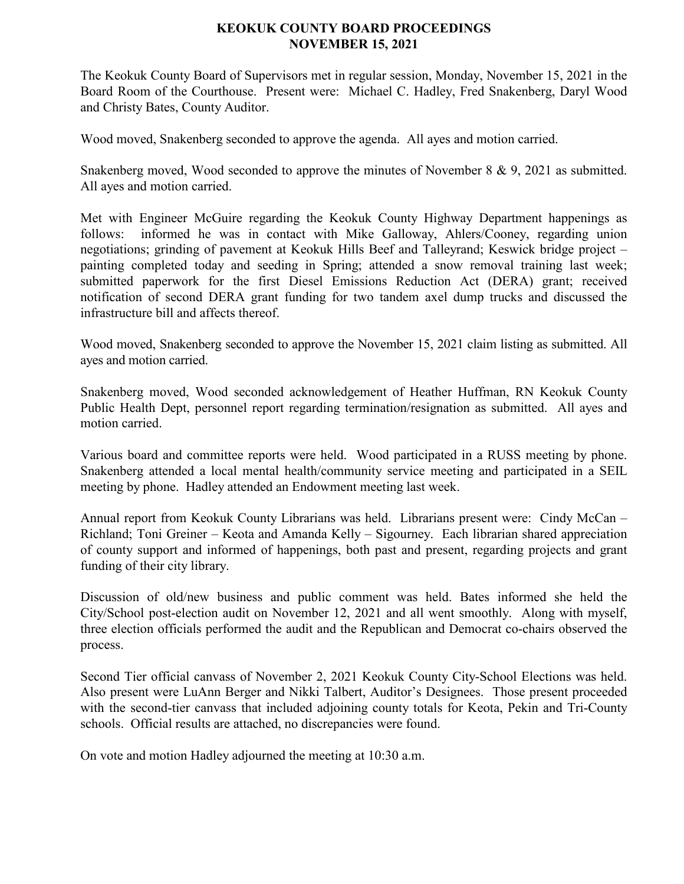## **KEOKUK COUNTY BOARD PROCEEDINGS NOVEMBER 15, 2021**

The Keokuk County Board of Supervisors met in regular session, Monday, November 15, 2021 in the Board Room of the Courthouse. Present were: Michael C. Hadley, Fred Snakenberg, Daryl Wood and Christy Bates, County Auditor.

Wood moved, Snakenberg seconded to approve the agenda. All ayes and motion carried.

Snakenberg moved, Wood seconded to approve the minutes of November 8 & 9, 2021 as submitted. All ayes and motion carried.

Met with Engineer McGuire regarding the Keokuk County Highway Department happenings as follows: informed he was in contact with Mike Galloway, Ahlers/Cooney, regarding union negotiations; grinding of pavement at Keokuk Hills Beef and Talleyrand; Keswick bridge project – painting completed today and seeding in Spring; attended a snow removal training last week; submitted paperwork for the first Diesel Emissions Reduction Act (DERA) grant; received notification of second DERA grant funding for two tandem axel dump trucks and discussed the infrastructure bill and affects thereof.

Wood moved, Snakenberg seconded to approve the November 15, 2021 claim listing as submitted. All ayes and motion carried.

Snakenberg moved, Wood seconded acknowledgement of Heather Huffman, RN Keokuk County Public Health Dept, personnel report regarding termination/resignation as submitted. All ayes and motion carried.

Various board and committee reports were held. Wood participated in a RUSS meeting by phone. Snakenberg attended a local mental health/community service meeting and participated in a SEIL meeting by phone. Hadley attended an Endowment meeting last week.

Annual report from Keokuk County Librarians was held. Librarians present were: Cindy McCan – Richland; Toni Greiner – Keota and Amanda Kelly – Sigourney. Each librarian shared appreciation of county support and informed of happenings, both past and present, regarding projects and grant funding of their city library.

Discussion of old/new business and public comment was held. Bates informed she held the City/School post-election audit on November 12, 2021 and all went smoothly. Along with myself, three election officials performed the audit and the Republican and Democrat co-chairs observed the process.

Second Tier official canvass of November 2, 2021 Keokuk County City-School Elections was held. Also present were LuAnn Berger and Nikki Talbert, Auditor's Designees. Those present proceeded with the second-tier canvass that included adjoining county totals for Keota, Pekin and Tri-County schools. Official results are attached, no discrepancies were found.

On vote and motion Hadley adjourned the meeting at 10:30 a.m.